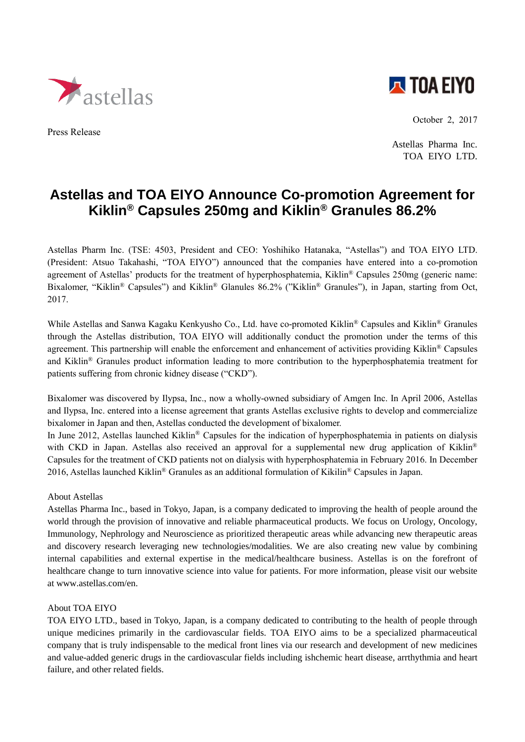

Press Release



October 2, 2017

Astellas Pharma Inc. TOA EIYO LTD.

## **Astellas and TOA EIYO Announce Co-promotion Agreement for Kiklin® Capsules 250mg and Kiklin® Granules 86.2%**

Astellas Pharm Inc. (TSE: 4503, President and CEO: Yoshihiko Hatanaka, "Astellas") and TOA EIYO LTD. (President: Atsuo Takahashi, "TOA EIYO") announced that the companies have entered into a co-promotion agreement of Astellas' products for the treatment of hyperphosphatemia, Kiklin® Capsules 250mg (generic name: Bixalomer, "Kiklin® Capsules") and Kiklin® Glanules 86.2% ("Kiklin® Granules"), in Japan, starting from Oct, 2017.

While Astellas and Sanwa Kagaku Kenkyusho Co., Ltd. have co-promoted Kiklin<sup>®</sup> Capsules and Kiklin<sup>®</sup> Granules through the Astellas distribution, TOA EIYO will additionally conduct the promotion under the terms of this agreement. This partnership will enable the enforcement and enhancement of activities providing Kiklin® Capsules and Kiklin® Granules product information leading to more contribution to the hyperphosphatemia treatment for patients suffering from chronic kidney disease ("CKD").

Bixalomer was discovered by Ilypsa, Inc., now a wholly-owned subsidiary of Amgen Inc. In April 2006, Astellas and Ilypsa, Inc. entered into a license agreement that grants Astellas exclusive rights to develop and commercialize bixalomer in Japan and then, Astellas conducted the development of bixalomer.

In June 2012, Astellas launched Kiklin® Capsules for the indication of hyperphosphatemia in patients on dialysis with CKD in Japan. Astellas also received an approval for a supplemental new drug application of Kiklin<sup>®</sup> Capsules for the treatment of CKD patients not on dialysis with hyperphosphatemia in February 2016. In December 2016, Astellas launched Kiklin<sup>®</sup> Granules as an additional formulation of Kikilin<sup>®</sup> Capsules in Japan.

## About Astellas

Astellas Pharma Inc., based in Tokyo, Japan, is a company dedicated to improving the health of people around the world through the provision of innovative and reliable pharmaceutical products. We focus on Urology, Oncology, Immunology, Nephrology and Neuroscience as prioritized therapeutic areas while advancing new therapeutic areas and discovery research leveraging new technologies/modalities. We are also creating new value by combining internal capabilities and external expertise in the medical/healthcare business. Astellas is on the forefront of healthcare change to turn innovative science into value for patients. For more information, please visit our website at www.astellas.com/en.

## About TOA EIYO

TOA EIYO LTD., based in Tokyo, Japan, is a company dedicated to contributing to the health of people through unique medicines primarily in the cardiovascular fields. TOA EIYO aims to be a specialized pharmaceutical company that is truly indispensable to the medical front lines via our research and development of new medicines and value-added generic drugs in the cardiovascular fields including ishchemic heart disease, arrthythmia and heart failure, and other related fields.